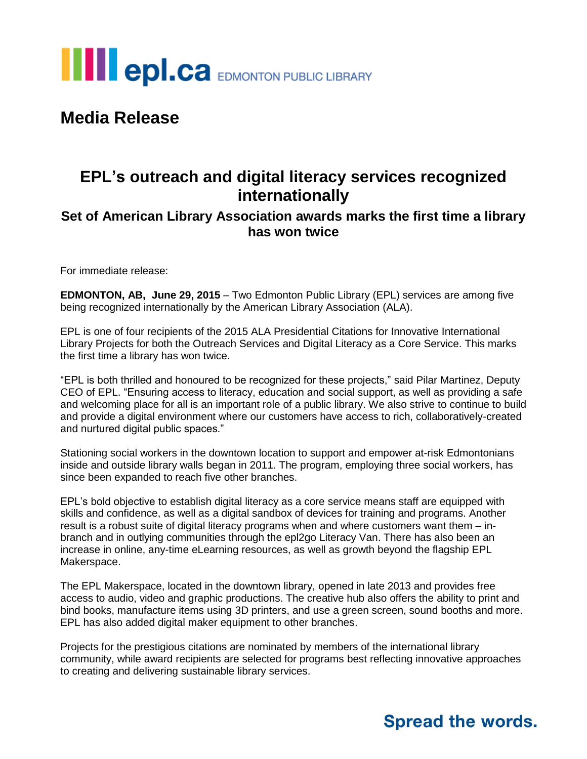

## **Media Release**

## **EPL's outreach and digital literacy services recognized internationally**

#### **Set of American Library Association awards marks the first time a library has won twice**

For immediate release:

**EDMONTON, AB, June 29, 2015** – Two Edmonton Public Library (EPL) services are among five being recognized internationally by the American Library Association (ALA).

EPL is one of four recipients of the 2015 ALA Presidential Citations for Innovative International Library Projects for both the Outreach Services and Digital Literacy as a Core Service. This marks the first time a library has won twice.

"EPL is both thrilled and honoured to be recognized for these projects," said Pilar Martinez, Deputy CEO of EPL. "Ensuring access to literacy, education and social support, as well as providing a safe and welcoming place for all is an important role of a public library. We also strive to continue to build and provide a digital environment where our customers have access to rich, collaboratively-created and nurtured digital public spaces."

Stationing social workers in the downtown location to support and empower at-risk Edmontonians inside and outside library walls began in 2011. The program, employing three social workers, has since been expanded to reach five other branches.

EPL's bold objective to establish digital literacy as a core service means staff are equipped with skills and confidence, as well as a digital sandbox of devices for training and programs. Another result is a robust suite of digital literacy programs when and where customers want them – inbranch and in outlying communities through the epl2go Literacy Van. There has also been an increase in online, any-time eLearning resources, as well as growth beyond the flagship EPL Makerspace.

The EPL Makerspace, located in the downtown library, opened in late 2013 and provides free access to audio, video and graphic productions. The creative hub also offers the ability to print and bind books, manufacture items using 3D printers, and use a green screen, sound booths and more. EPL has also added digital maker equipment to other branches.

Projects for the prestigious citations are nominated by members of the international library community, while award recipients are selected for programs best reflecting innovative approaches to creating and delivering sustainable library services.

## **Spread the words.**